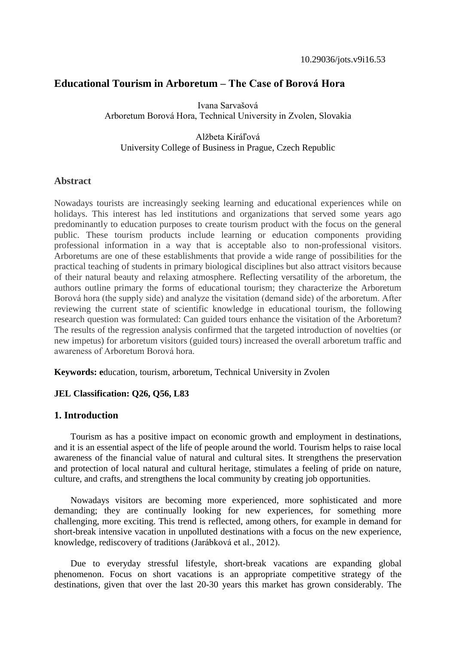# **Educational Tourism in Arboretum – The Case of Borová Hora**

Ivana Sarvašová Arboretum Borová Hora, Technical University in Zvolen, Slovakia

# Alžbeta Kiráľová University College of Business in Prague, Czech Republic

# **Abstract**

Nowadays tourists are increasingly seeking learning and educational experiences while on holidays. This interest has led institutions and organizations that served some years ago predominantly to education purposes to create tourism product with the focus on the general public. These tourism products include learning or education components providing professional information in a way that is acceptable also to non-professional visitors. Arboretums are one of these establishments that provide a wide range of possibilities for the practical teaching of students in primary biological disciplines but also attract visitors because of their natural beauty and relaxing atmosphere. Reflecting versatility of the arboretum, the authors outline primary the forms of educational tourism; they characterize the Arboretum Borová hora (the supply side) and analyze the visitation (demand side) of the arboretum. After reviewing the current state of scientific knowledge in educational tourism, the following research question was formulated: Can guided tours enhance the visitation of the Arboretum? The results of the regression analysis confirmed that the targeted introduction of novelties (or new impetus) for arboretum visitors (guided tours) increased the overall arboretum traffic and awareness of Arboretum Borová hora.

**Keywords:** education, tourism, arboretum, Technical University in Zvolen

### **JEL Classification: Q26, Q56, L83**

## **1. Introduction**

Tourism as has a positive impact on economic growth and employment in destinations, and it is an essential aspect of the life of people around the world. Tourism helps to raise local awareness of the financial value of natural and cultural sites. It strengthens the preservation and protection of local natural and cultural heritage, stimulates a feeling of pride on nature, culture, and crafts, and strengthens the local community by creating job opportunities.

Nowadays visitors are becoming more experienced, more sophisticated and more demanding; they are continually looking for new experiences, for something more challenging, more exciting. This trend is reflected, among others, for example in demand for short-break intensive vacation in unpolluted destinations with a focus on the new experience, knowledge, rediscovery of traditions (Jarábková et al., 2012).

Due to everyday stressful lifestyle, short-break vacations are expanding global phenomenon. Focus on short vacations is an appropriate competitive strategy of the destinations, given that over the last 20-30 years this market has grown considerably. The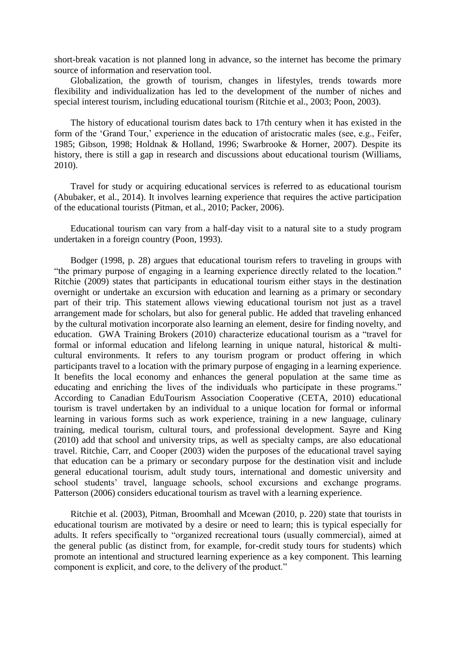short-break vacation is not planned long in advance, so the internet has become the primary source of information and reservation tool.

Globalization, the growth of tourism, changes in lifestyles, trends towards more flexibility and individualization has led to the development of the number of niches and special interest tourism, including educational tourism (Ritchie et al., 2003; Poon, 2003).

The history of educational tourism dates back to 17th century when it has existed in the form of the 'Grand Tour,' experience in the education of aristocratic males (see, e.g., Feifer, 1985; Gibson, 1998; Holdnak & Holland, 1996; Swarbrooke & Horner, 2007). Despite its history, there is still a gap in research and discussions about educational tourism (Williams, 2010).

Travel for study or acquiring educational services is referred to as educational tourism (Abubaker, et al., 2014). It involves learning experience that requires the active participation of the educational tourists (Pitman, et al., 2010; Packer, 2006).

Educational tourism can vary from a half-day visit to a natural site to a study program undertaken in a foreign country (Poon, 1993).

Bodger (1998, p. 28) argues that educational tourism refers to traveling in groups with "the primary purpose of engaging in a learning experience directly related to the location." Ritchie (2009) states that participants in educational tourism either stays in the destination overnight or undertake an excursion with education and learning as a primary or secondary part of their trip. This statement allows viewing educational tourism not just as a travel arrangement made for scholars, but also for general public. He added that traveling enhanced by the cultural motivation incorporate also learning an element, desire for finding novelty, and education. GWA Training Brokers (2010) characterize educational tourism as a "travel for formal or informal education and lifelong learning in unique natural, historical & multicultural environments. It refers to any tourism program or product offering in which participants travel to a location with the primary purpose of engaging in a learning experience. It benefits the local economy and enhances the general population at the same time as educating and enriching the lives of the individuals who participate in these programs." According to Canadian EduTourism Association Cooperative (CETA, 2010) educational tourism is travel undertaken by an individual to a unique location for formal or informal learning in various forms such as work experience, training in a new language, culinary training, medical tourism, cultural tours, and professional development. Sayre and King (2010) add that school and university trips, as well as specialty camps, are also educational travel. Ritchie, Carr, and Cooper (2003) widen the purposes of the educational travel saying that education can be a primary or secondary purpose for the destination visit and include general educational tourism, adult study tours, international and domestic university and school students' travel, language schools, school excursions and exchange programs. Patterson (2006) considers educational tourism as travel with a learning experience.

Ritchie et al. (2003), Pitman, Broomhall and Mcewan (2010, p. 220) state that tourists in educational tourism are motivated by a desire or need to learn; this is typical especially for adults. It refers specifically to "organized recreational tours (usually commercial), aimed at the general public (as distinct from, for example, for-credit study tours for students) which promote an intentional and structured learning experience as a key component. This learning component is explicit, and core, to the delivery of the product."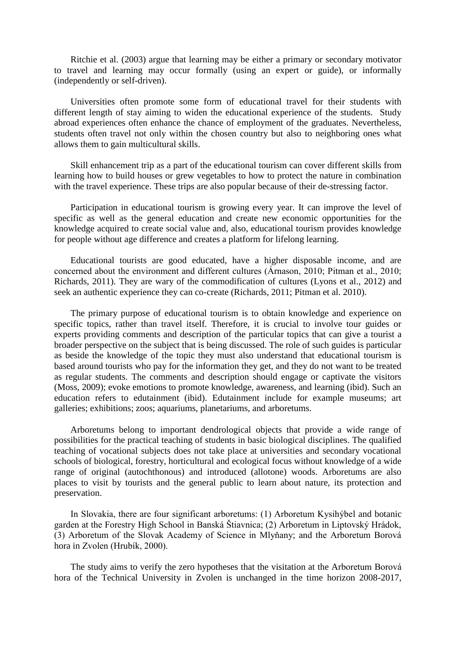Ritchie et al. (2003) argue that learning may be either a primary or secondary motivator to travel and learning may occur formally (using an expert or guide), or informally (independently or self-driven).

Universities often promote some form of educational travel for their students with different length of stay aiming to widen the educational experience of the students. Study abroad experiences often enhance the chance of employment of the graduates. Nevertheless, students often travel not only within the chosen country but also to neighboring ones what allows them to gain multicultural skills.

Skill enhancement trip as a part of the educational tourism can cover different skills from learning how to build houses or grew vegetables to how to protect the nature in combination with the travel experience. These trips are also popular because of their de-stressing factor.

Participation in educational tourism is growing every year. It can improve the level of specific as well as the general education and create new economic opportunities for the knowledge acquired to create social value and, also, educational tourism provides knowledge for people without age difference and creates a platform for lifelong learning.

Educational tourists are good educated, have a higher disposable income, and are concerned about the environment and different cultures (Árnason, 2010; Pitman et al., 2010; Richards, 2011). They are wary of the commodification of cultures (Lyons et al., 2012) and seek an authentic experience they can co-create (Richards, 2011; Pitman et al. 2010).

The primary purpose of educational tourism is to obtain knowledge and experience on specific topics, rather than travel itself. Therefore, it is crucial to involve tour guides or experts providing comments and description of the particular topics that can give a tourist a broader perspective on the subject that is being discussed. The role of such guides is particular as beside the knowledge of the topic they must also understand that educational tourism is based around tourists who pay for the information they get, and they do not want to be treated as regular students. The comments and description should engage or captivate the visitors (Moss, 2009); evoke emotions to promote knowledge, awareness, and learning (ibid). Such an education refers to edutainment (ibid). Edutainment include for example museums; art galleries; exhibitions; zoos; aquariums, planetariums, and arboretums.

Arboretums belong to important dendrological objects that provide a wide range of possibilities for the practical teaching of students in basic biological disciplines. The qualified teaching of vocational subjects does not take place at universities and secondary vocational schools of biological, forestry, horticultural and ecological focus without knowledge of a wide range of original (autochthonous) and introduced (allotone) woods. Arboretums are also places to visit by tourists and the general public to learn about nature, its protection and preservation.

In Slovakia, there are four significant arboretums: (1) Arboretum Kysihýbel and botanic garden at the Forestry High School in Banská Štiavnica; (2) Arboretum in Liptovský Hrádok, (3) Arboretum of the Slovak Academy of Science in Mlyňany; and the Arboretum Borová hora in Zvolen (Hrubík, 2000).

The study aims to verify the zero hypotheses that the visitation at the Arboretum Borová hora of the Technical University in Zvolen is unchanged in the time horizon 2008-2017,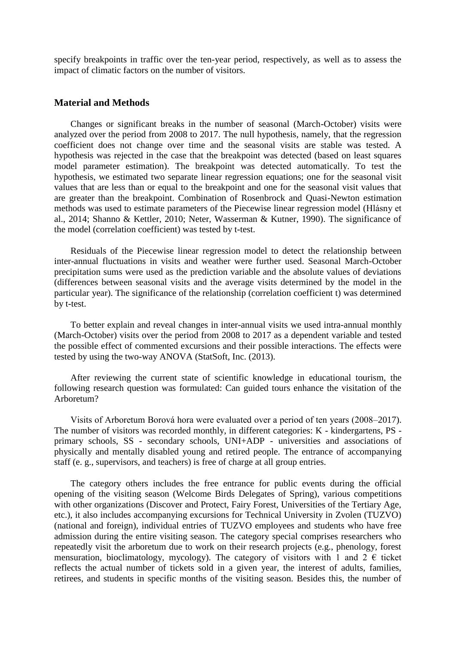specify breakpoints in traffic over the ten-year period, respectively, as well as to assess the impact of climatic factors on the number of visitors.

## **Material and Methods**

Changes or significant breaks in the number of seasonal (March-October) visits were analyzed over the period from 2008 to 2017. The null hypothesis, namely, that the regression coefficient does not change over time and the seasonal visits are stable was tested. A hypothesis was rejected in the case that the breakpoint was detected (based on least squares model parameter estimation). The breakpoint was detected automatically. To test the hypothesis, we estimated two separate linear regression equations; one for the seasonal visit values that are less than or equal to the breakpoint and one for the seasonal visit values that are greater than the breakpoint. Combination of Rosenbrock and Quasi-Newton estimation methods was used to estimate parameters of the Piecewise linear regression model (Hlásny et al., 2014; Shanno & Kettler, 2010; Neter, Wasserman & Kutner, 1990). The significance of the model (correlation coefficient) was tested by t-test.

Residuals of the Piecewise linear regression model to detect the relationship between inter-annual fluctuations in visits and weather were further used. Seasonal March-October precipitation sums were used as the prediction variable and the absolute values of deviations (differences between seasonal visits and the average visits determined by the model in the particular year). The significance of the relationship (correlation coefficient t) was determined by t-test.

To better explain and reveal changes in inter-annual visits we used intra-annual monthly (March-October) visits over the period from 2008 to 2017 as a dependent variable and tested the possible effect of commented excursions and their possible interactions. The effects were tested by using the two-way ANOVA (StatSoft, Inc. (2013).

After reviewing the current state of scientific knowledge in educational tourism, the following research question was formulated: Can guided tours enhance the visitation of the Arboretum?

Visits of Arboretum Borová hora were evaluated over a period of ten years (2008–2017). The number of visitors was recorded monthly, in different categories: K - kindergartens, PS primary schools, SS - secondary schools, UNI+ADP - universities and associations of physically and mentally disabled young and retired people. The entrance of accompanying staff (e. g., supervisors, and teachers) is free of charge at all group entries.

The category others includes the free entrance for public events during the official opening of the visiting season (Welcome Birds Delegates of Spring), various competitions with other organizations (Discover and Protect, Fairy Forest, Universities of the Tertiary Age, etc.), it also includes accompanying excursions for Technical University in Zvolen (TUZVO) (national and foreign), individual entries of TUZVO employees and students who have free admission during the entire visiting season. The category special comprises researchers who repeatedly visit the arboretum due to work on their research projects (e.g., phenology, forest mensuration, bioclimatology, mycology). The category of visitors with 1 and 2  $\epsilon$  ticket reflects the actual number of tickets sold in a given year, the interest of adults, families, retirees, and students in specific months of the visiting season. Besides this, the number of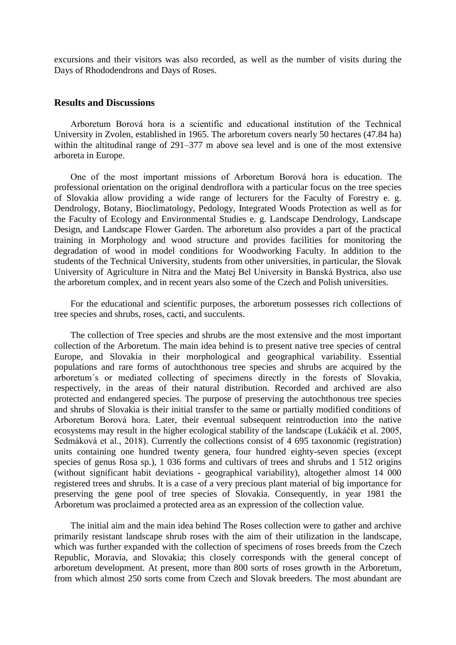excursions and their visitors was also recorded, as well as the number of visits during the Days of Rhododendrons and Days of Roses.

## **Results and Discussions**

Arboretum Borová hora is a scientific and educational institution of the Technical University in Zvolen, established in 1965. The arboretum covers nearly 50 hectares (47.84 ha) within the altitudinal range of 291–377 m above sea level and is one of the most extensive arboreta in Europe.

One of the most important missions of Arboretum Borová hora is education. The professional orientation on the original dendroflora with a particular focus on the tree species of Slovakia allow providing a wide range of lecturers for the Faculty of Forestry e. g. Dendrology, Botany, Bioclimatology, Pedology, Integrated Woods Protection as well as for the Faculty of Ecology and Environmental Studies e. g. Landscape Dendrology, Landscape Design, and Landscape Flower Garden. The arboretum also provides a part of the practical training in Morphology and wood structure and provides facilities for monitoring the degradation of wood in model conditions for Woodworking Faculty. In addition to the students of the Technical University, students from other universities, in particular, the Slovak University of Agriculture in Nitra and the Matej Bel University in Banská Bystrica, also use the arboretum complex, and in recent years also some of the Czech and Polish universities.

For the educational and scientific purposes, the arboretum possesses rich collections of tree species and shrubs, roses, cacti, and succulents.

The collection of Tree species and shrubs are the most extensive and the most important collection of the Arboretum. The main idea behind is to present native tree species of central Europe, and Slovakia in their morphological and geographical variability. Essential populations and rare forms of autochthonous tree species and shrubs are acquired by the arboretum´s or mediated collecting of specimens directly in the forests of Slovakia, respectively, in the areas of their natural distribution. Recorded and archived are also protected and endangered species. The purpose of preserving the autochthonous tree species and shrubs of Slovakia is their initial transfer to the same or partially modified conditions of Arboretum Borová hora. Later, their eventual subsequent reintroduction into the native ecosystems may result in the higher ecological stability of the landscape (Lukáčik et al. 2005, Sedmáková et al., 2018). Currently the collections consist of 4 695 taxonomic (registration) units containing one hundred twenty genera, four hundred eighty-seven species (except species of genus Rosa sp.), 1 036 forms and cultivars of trees and shrubs and 1 512 origins (without significant habit deviations - geographical variability), altogether almost 14 000 registered trees and shrubs. It is a case of a very precious plant material of big importance for preserving the gene pool of tree species of Slovakia. Consequently, in year 1981 the Arboretum was proclaimed a protected area as an expression of the collection value.

The initial aim and the main idea behind The Roses collection were to gather and archive primarily resistant landscape shrub roses with the aim of their utilization in the landscape, which was further expanded with the collection of specimens of roses breeds from the Czech Republic, Moravia, and Slovakia; this closely corresponds with the general concept of arboretum development. At present, more than 800 sorts of roses growth in the Arboretum, from which almost 250 sorts come from Czech and Slovak breeders. The most abundant are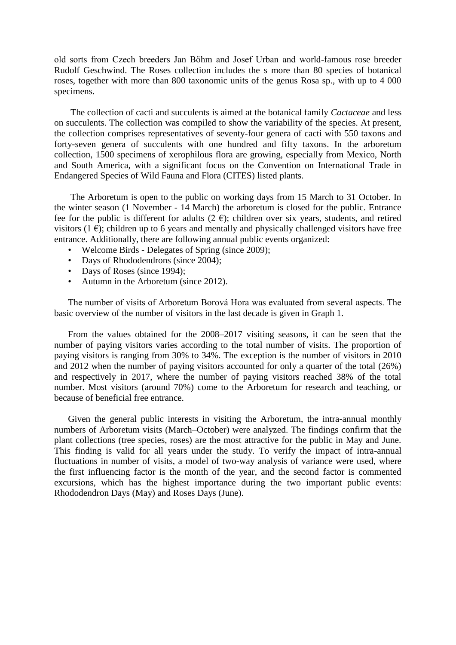old sorts from Czech breeders Jan Böhm and Josef Urban and world-famous rose breeder Rudolf Geschwind. The Roses collection includes the s more than 80 species of botanical roses, together with more than 800 taxonomic units of the genus Rosa sp., with up to 4 000 specimens.

The collection of cacti and succulents is aimed at the botanical family *Cactaceae* and less on succulents. The collection was compiled to show the variability of the species. At present, the collection comprises representatives of seventy-four genera of cacti with 550 taxons and forty-seven genera of succulents with one hundred and fifty taxons. In the arboretum collection, 1500 specimens of xerophilous flora are growing, especially from Mexico, North and South America, with a significant focus on the Convention on International Trade in Endangered Species of Wild Fauna and Flora (CITES) listed plants.

The Arboretum is open to the public on working days from 15 March to 31 October. In the winter season (1 November - 14 March) the arboretum is closed for the public. Entrance fee for the public is different for adults (2  $\epsilon$ ); children over six years, students, and retired visitors (1 $\epsilon$ ); children up to 6 years and mentally and physically challenged visitors have free entrance. Additionally, there are following annual public events organized:

- Welcome Birds Delegates of Spring (since 2009);
- Days of Rhododendrons (since 2004);
- Days of Roses (since 1994);
- Autumn in the Arboretum (since 2012).

The number of visits of Arboretum Borová Hora was evaluated from several aspects. The basic overview of the number of visitors in the last decade is given in Graph 1.

From the values obtained for the 2008–2017 visiting seasons, it can be seen that the number of paying visitors varies according to the total number of visits. The proportion of paying visitors is ranging from 30% to 34%. The exception is the number of visitors in 2010 and 2012 when the number of paying visitors accounted for only a quarter of the total (26%) and respectively in 2017, where the number of paying visitors reached 38% of the total number. Most visitors (around 70%) come to the Arboretum for research and teaching, or because of beneficial free entrance.

Given the general public interests in visiting the Arboretum, the intra-annual monthly numbers of Arboretum visits (March–October) were analyzed. The findings confirm that the plant collections (tree species, roses) are the most attractive for the public in May and June. This finding is valid for all years under the study. To verify the impact of intra-annual fluctuations in number of visits, a model of two-way analysis of variance were used, where the first influencing factor is the month of the year, and the second factor is commented excursions, which has the highest importance during the two important public events: Rhododendron Days (May) and Roses Days (June).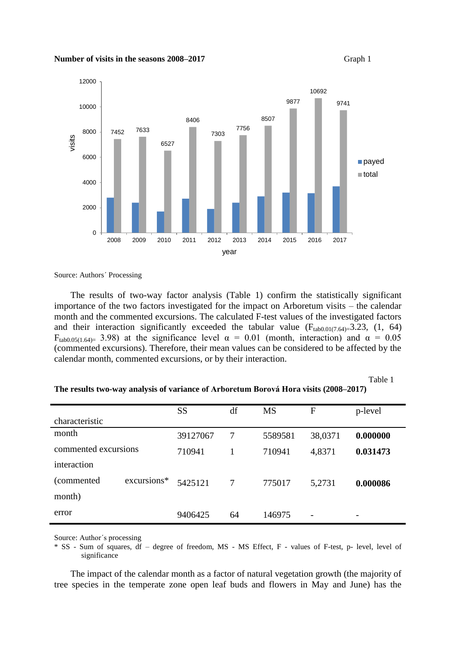



Source: Authors´ Processing

The results of two-way factor analysis (Table 1) confirm the statistically significant importance of the two factors investigated for the impact on Arboretum visits – the calendar month and the commented excursions. The calculated F-test values of the investigated factors and their interaction significantly exceeded the tabular value  $(F_{tab0.01(7.64)=}3.23, (1, 64)$ F<sub>tab0.05(1.64)</sub> 3.98) at the significance level  $\alpha = 0.01$  (month, interaction) and  $\alpha = 0.05$ (commented excursions). Therefore, their mean values can be considered to be affected by the calendar month, commented excursions, or by their interaction.

Table 1

#### **The results two-way analysis of variance of Arboretum Borová Hora visits (2008–2017)**

|                      |             | <b>SS</b> | df | <b>MS</b> | F       | p-level  |
|----------------------|-------------|-----------|----|-----------|---------|----------|
| characteristic       |             |           |    |           |         |          |
| month                |             | 39127067  | 7  | 5589581   | 38,0371 | 0.000000 |
| commented excursions |             | 710941    |    | 710941    | 4,8371  | 0.031473 |
| interaction          |             |           |    |           |         |          |
| (commented)          | excursions* | 5425121   | 7  | 775017    | 5,2731  | 0.000086 |
| month)               |             |           |    |           |         |          |
| error                |             | 9406425   | 64 | 146975    |         |          |

Source: Author´s processing

\* SS - Sum of squares, df – degree of freedom, MS - MS Effect, F - values of F-test, p- level, level of significance

The impact of the calendar month as a factor of natural vegetation growth (the majority of tree species in the temperate zone open leaf buds and flowers in May and June) has the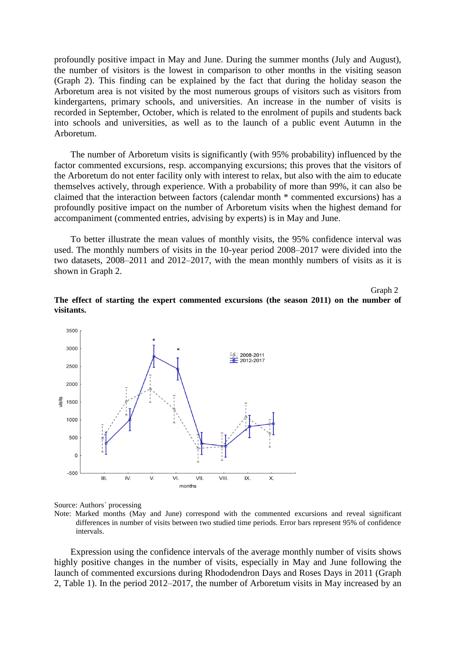profoundly positive impact in May and June. During the summer months (July and August), the number of visitors is the lowest in comparison to other months in the visiting season (Graph 2). This finding can be explained by the fact that during the holiday season the Arboretum area is not visited by the most numerous groups of visitors such as visitors from kindergartens, primary schools, and universities. An increase in the number of visits is recorded in September, October, which is related to the enrolment of pupils and students back into schools and universities, as well as to the launch of a public event Autumn in the Arboretum.

The number of Arboretum visits is significantly (with 95% probability) influenced by the factor commented excursions, resp. accompanying excursions; this proves that the visitors of the Arboretum do not enter facility only with interest to relax, but also with the aim to educate themselves actively, through experience. With a probability of more than 99%, it can also be claimed that the interaction between factors (calendar month \* commented excursions) has a profoundly positive impact on the number of Arboretum visits when the highest demand for accompaniment (commented entries, advising by experts) is in May and June.

To better illustrate the mean values of monthly visits, the 95% confidence interval was used. The monthly numbers of visits in the 10-year period 2008–2017 were divided into the two datasets, 2008–2011 and 2012–2017, with the mean monthly numbers of visits as it is shown in Graph 2.

Graph 2







Note: Marked months (May and June) correspond with the commented excursions and reveal significant differences in number of visits between two studied time periods. Error bars represent 95% of confidence intervals.

Expression using the confidence intervals of the average monthly number of visits shows highly positive changes in the number of visits, especially in May and June following the launch of commented excursions during Rhododendron Days and Roses Days in 2011 (Graph 2, Table 1). In the period 2012–2017, the number of Arboretum visits in May increased by an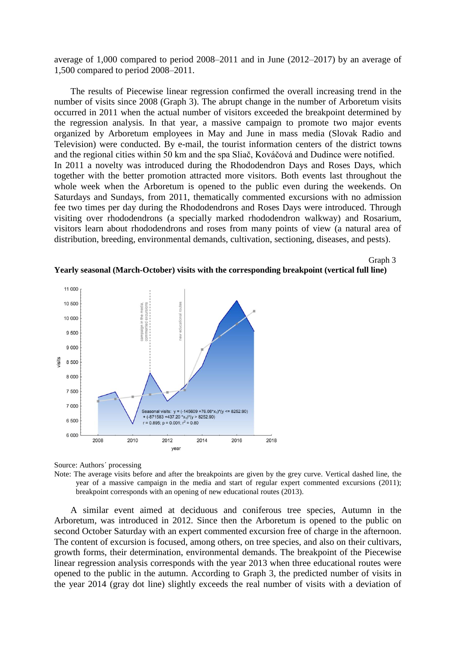average of 1,000 compared to period 2008–2011 and in June (2012–2017) by an average of 1,500 compared to period 2008–2011.

The results of Piecewise linear regression confirmed the overall increasing trend in the number of visits since 2008 (Graph 3). The abrupt change in the number of Arboretum visits occurred in 2011 when the actual number of visitors exceeded the breakpoint determined by the regression analysis. In that year, a massive campaign to promote two major events organized by Arboretum employees in May and June in mass media (Slovak Radio and Television) were conducted. By e-mail, the tourist information centers of the district towns and the regional cities within 50 km and the spa Sliač, Kováčová and Dudince were notified. In 2011 a novelty was introduced during the Rhododendron Days and Roses Days, which together with the better promotion attracted more visitors. Both events last throughout the whole week when the Arboretum is opened to the public even during the weekends. On Saturdays and Sundays, from 2011, thematically commented excursions with no admission fee two times per day during the Rhododendrons and Roses Days were introduced. Through visiting over rhododendrons (a specially marked rhododendron walkway) and Rosarium, visitors learn about rhododendrons and roses from many points of view (a natural area of distribution, breeding, environmental demands, cultivation, sectioning, diseases, and pests).

Graph 3



**Yearly seasonal (March-October) visits with the corresponding breakpoint (vertical full line)** 



Source: Authors´ processing

Note: The average visits before and after the breakpoints are given by the grey curve. Vertical dashed line, the year of a massive campaign in the media and start of regular expert commented excursions (2011); breakpoint corresponds with an opening of new educational routes (2013).

A similar event aimed at deciduous and coniferous tree species, Autumn in the Arboretum, was introduced in 2012. Since then the Arboretum is opened to the public on second October Saturday with an expert commented excursion free of charge in the afternoon. The content of excursion is focused, among others, on tree species, and also on their cultivars, growth forms, their determination, environmental demands. The breakpoint of the Piecewise linear regression analysis corresponds with the year 2013 when three educational routes were opened to the public in the autumn. According to Graph 3, the predicted number of visits in the year 2014 (gray dot line) slightly exceeds the real number of visits with a deviation of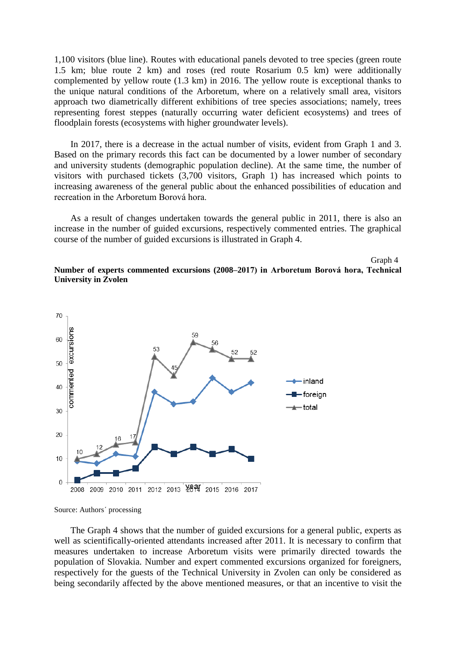1,100 visitors (blue line). Routes with educational panels devoted to tree species (green route 1.5 km; blue route 2 km) and roses (red route Rosarium 0.5 km) were additionally complemented by yellow route (1.3 km) in 2016. The yellow route is exceptional thanks to the unique natural conditions of the Arboretum, where on a relatively small area, visitors approach two diametrically different exhibitions of tree species associations; namely, trees representing forest steppes (naturally occurring water deficient ecosystems) and trees of floodplain forests (ecosystems with higher groundwater levels).

In 2017, there is a decrease in the actual number of visits, evident from Graph 1 and 3. Based on the primary records this fact can be documented by a lower number of secondary and university students (demographic population decline). At the same time, the number of visitors with purchased tickets (3,700 visitors, Graph 1) has increased which points to increasing awareness of the general public about the enhanced possibilities of education and recreation in the Arboretum Borová hora.

As a result of changes undertaken towards the general public in 2011, there is also an increase in the number of guided excursions, respectively commented entries. The graphical course of the number of guided excursions is illustrated in Graph 4.

Graph 4

### **Number of experts commented excursions (2008–2017) in Arboretum Borová hora, Technical University in Zvolen**



Source: Authors´ processing

The Graph 4 shows that the number of guided excursions for a general public, experts as well as scientifically-oriented attendants increased after 2011. It is necessary to confirm that measures undertaken to increase Arboretum visits were primarily directed towards the population of Slovakia. Number and expert commented excursions organized for foreigners, respectively for the guests of the Technical University in Zvolen can only be considered as being secondarily affected by the above mentioned measures, or that an incentive to visit the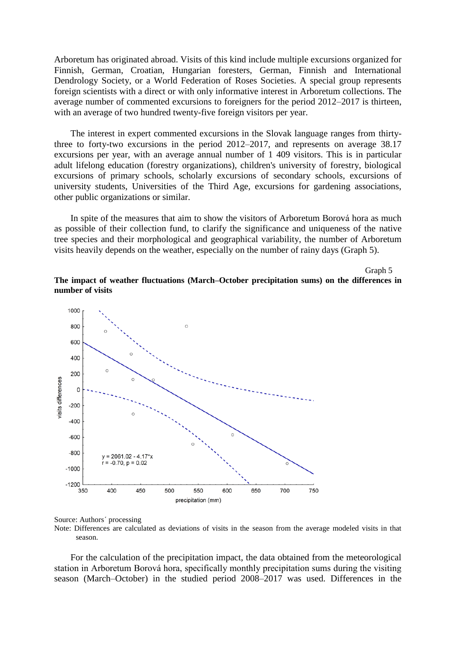Arboretum has originated abroad. Visits of this kind include multiple excursions organized for Finnish, German, Croatian, Hungarian foresters, German, Finnish and International Dendrology Society, or a World Federation of Roses Societies. A special group represents foreign scientists with a direct or with only informative interest in Arboretum collections. The average number of commented excursions to foreigners for the period 2012–2017 is thirteen, with an average of two hundred twenty-five foreign visitors per year.

The interest in expert commented excursions in the Slovak language ranges from thirtythree to forty-two excursions in the period 2012–2017, and represents on average 38.17 excursions per year, with an average annual number of 1 409 visitors. This is in particular adult lifelong education (forestry organizations), children's university of forestry, biological excursions of primary schools, scholarly excursions of secondary schools, excursions of university students, Universities of the Third Age, excursions for gardening associations, other public organizations or similar.

In spite of the measures that aim to show the visitors of Arboretum Borová hora as much as possible of their collection fund, to clarify the significance and uniqueness of the native tree species and their morphological and geographical variability, the number of Arboretum visits heavily depends on the weather, especially on the number of rainy days (Graph 5).

**The impact of weather fluctuations (March–October precipitation sums) on the differences in number of visits**

Graph 5



Source: Authors´ processing Note: Differences are calculated as deviations of visits in the season from the average modeled visits in that season.

For the calculation of the precipitation impact, the data obtained from the meteorological station in Arboretum Borová hora, specifically monthly precipitation sums during the visiting season (March–October) in the studied period 2008–2017 was used. Differences in the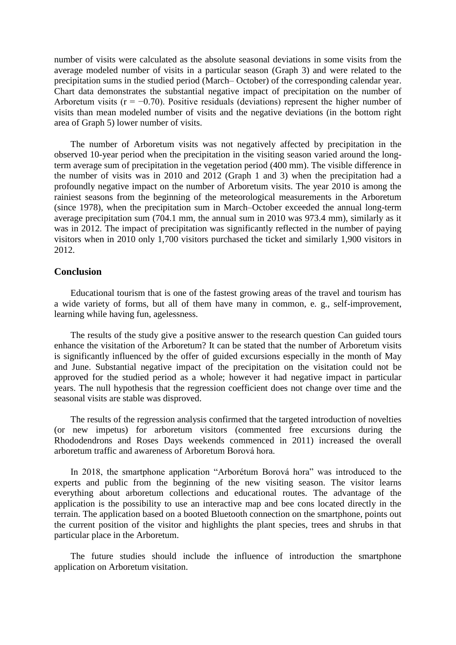number of visits were calculated as the absolute seasonal deviations in some visits from the average modeled number of visits in a particular season (Graph 3) and were related to the precipitation sums in the studied period (March– October) of the corresponding calendar year. Chart data demonstrates the substantial negative impact of precipitation on the number of Arboretum visits ( $r = -0.70$ ). Positive residuals (deviations) represent the higher number of visits than mean modeled number of visits and the negative deviations (in the bottom right area of Graph 5) lower number of visits.

The number of Arboretum visits was not negatively affected by precipitation in the observed 10-year period when the precipitation in the visiting season varied around the longterm average sum of precipitation in the vegetation period (400 mm). The visible difference in the number of visits was in 2010 and 2012 (Graph 1 and 3) when the precipitation had a profoundly negative impact on the number of Arboretum visits. The year 2010 is among the rainiest seasons from the beginning of the meteorological measurements in the Arboretum (since 1978), when the precipitation sum in March–October exceeded the annual long-term average precipitation sum (704.1 mm, the annual sum in 2010 was 973.4 mm), similarly as it was in 2012. The impact of precipitation was significantly reflected in the number of paying visitors when in 2010 only 1,700 visitors purchased the ticket and similarly 1,900 visitors in 2012.

# **Conclusion**

Educational tourism that is one of the fastest growing areas of the travel and tourism has a wide variety of forms, but all of them have many in common, e. g., self-improvement, learning while having fun, agelessness.

The results of the study give a positive answer to the research question Can guided tours enhance the visitation of the Arboretum? It can be stated that the number of Arboretum visits is significantly influenced by the offer of guided excursions especially in the month of May and June. Substantial negative impact of the precipitation on the visitation could not be approved for the studied period as a whole; however it had negative impact in particular years. The null hypothesis that the regression coefficient does not change over time and the seasonal visits are stable was disproved.

The results of the regression analysis confirmed that the targeted introduction of novelties (or new impetus) for arboretum visitors (commented free excursions during the Rhododendrons and Roses Days weekends commenced in 2011) increased the overall arboretum traffic and awareness of Arboretum Borová hora.

In 2018, the smartphone application "Arborétum Borová hora" was introduced to the experts and public from the beginning of the new visiting season. The visitor learns everything about arboretum collections and educational routes. The advantage of the application is the possibility to use an interactive map and bee cons located directly in the terrain. The application based on a booted Bluetooth connection on the smartphone, points out the current position of the visitor and highlights the plant species, trees and shrubs in that particular place in the Arboretum.

The future studies should include the influence of introduction the smartphone application on Arboretum visitation.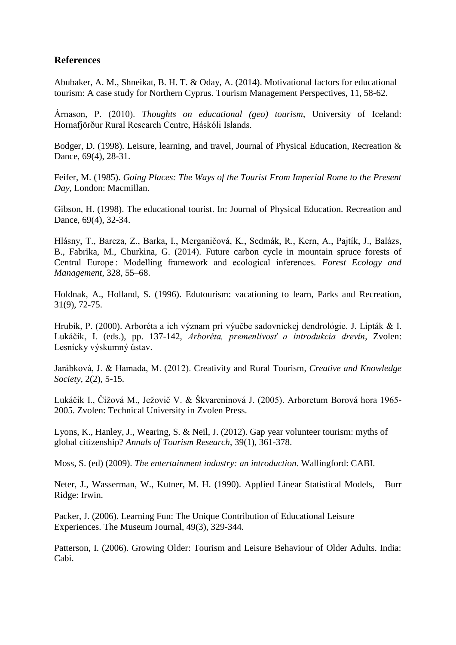# **References**

Abubaker, A. M., Shneikat, B. H. T. & Oday, A. (2014). Motivational factors for educational tourism: A case study for Northern Cyprus. Tourism Management Perspectives, 11, 58-62.

Árnason, P. (2010). *Thoughts on educational (geo) tourism*, University of Iceland: Hornafjörður Rural Research Centre, Háskóli Islands.

Bodger, D. (1998). Leisure, learning, and travel, Journal of Physical Education, Recreation & Dance, 69(4), 28-31.

Feifer, M. (1985). *Going Places: The Ways of the Tourist From Imperial Rome to the Present Day*, London: Macmillan.

Gibson, H. (1998). The educational tourist. In: Journal of Physical Education. Recreation and Dance, 69(4), 32-34.

Hlásny, T., Barcza, Z., Barka, I., Merganičová, K., Sedmák, R., Kern, A., Pajtík, J., Balázs, B., Fabrika, M., Churkina, G. (2014). Future carbon cycle in mountain spruce forests of Central Europe : Modelling framework and ecological inferences*. Forest Ecology and Management*, 328, 55–68.

Holdnak, A., Holland, S. (1996). Edutourism: vacationing to learn, Parks and Recreation, 31(9), 72-75.

Hrubík, P. (2000). Arboréta a ich význam pri výučbe sadovníckej dendrológie. J. Lipták & I. Lukáčik, I. (eds.), pp. 137-142, *Arboréta, premenlivosť a introdukcia drevín*, Zvolen: Lesnícky výskumný ústav.

Jarábková, J. & Hamada, M. (2012). Creativity and Rural Tourism, *Creative and Knowledge Society*, 2(2), 5-15.

Lukáčik I., Čížová M., Ježovič V. & Škvareninová J. (2005). Arboretum Borová hora 1965- 2005. Zvolen: Technical University in Zvolen Press.

Lyons, K., Hanley, J., Wearing, S. & Neil, J. (2012). Gap year volunteer tourism: myths of global citizenship? *Annals of Tourism Research*, 39(1), 361-378.

Moss, S. (ed) (2009). *The entertainment industry: an introduction*. Wallingford: CABI.

Neter, J., Wasserman, W., Kutner, M. H. (1990). Applied Linear Statistical Models, Burr Ridge: Irwin.

Packer, J. (2006). Learning Fun: The Unique Contribution of Educational Leisure Experiences. The Museum Journal, 49(3), 329-344.

Patterson, I. (2006). Growing Older: Tourism and Leisure Behaviour of Older Adults. India: Cabi.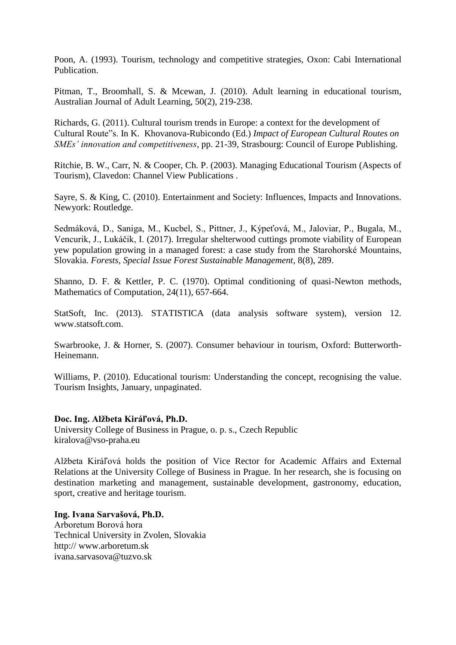Poon, A. (1993). Tourism, technology and competitive strategies, Oxon: Cabi International **Publication** 

Pitman, T., Broomhall, S. & Mcewan, J. (2010). Adult learning in educational tourism, Australian Journal of Adult Learning, 50(2), 219-238.

Richards, G. (2011). Cultural tourism trends in Europe: a context for the development of Cultural Route"s. In K. Khovanova-Rubicondo (Ed.) *Impact of European Cultural Routes on SMEs' innovation and competitiveness,* pp. 21-39, Strasbourg: Council of Europe Publishing.

Ritchie, B. W., Carr, N. & Cooper, Ch. P. (2003). Managing Educational Tourism (Aspects of Tourism), Clavedon: Channel View Publications .

Sayre, S. & King, C. (2010). Entertainment and Society: Influences, Impacts and Innovations. Newyork: Routledge.

Sedmáková, D., Saniga, M., Kucbel, S., Pittner, J., Kýpeťová, M., Jaloviar, P., Bugala, M., Vencurik, J., Lukáčik, I. (2017). Irregular shelterwood cuttings promote viability of European yew population growing in a managed forest: a case study from the Starohorské Mountains, Slovakia. *Forests*, *Special Issue Forest Sustainable Management,* 8(8), 289.

Shanno, D. F. & Kettler, P. C. (1970). Optimal conditioning of quasi-Newton methods, Mathematics of Computation, 24(11), 657-664.

StatSoft, Inc. (2013). STATISTICA (data analysis software system), version 12. www.statsoft.com.

Swarbrooke, J. & Horner, S. (2007). Consumer behaviour in tourism, Oxford: Butterworth-Heinemann.

Williams, P. (2010). Educational tourism: Understanding the concept, recognising the value. Tourism Insights, January, unpaginated.

# **Doc. Ing. Alžbeta Kiráľová, Ph.D.**

University College of Business in Prague, o. p. s., Czech Republic kiralova@vso-praha.eu

Alžbeta Kiráľová holds the position of Vice Rector for Academic Affairs and External Relations at the University College of Business in Prague. In her research, she is focusing on destination marketing and management, sustainable development, gastronomy, education, sport, creative and heritage tourism.

**Ing. Ivana Sarvašová, Ph.D.** Arboretum Borová hora Technical University in Zvolen, Slovakia http:// www.arboretum.sk ivana.sarvasova@tuzvo.sk